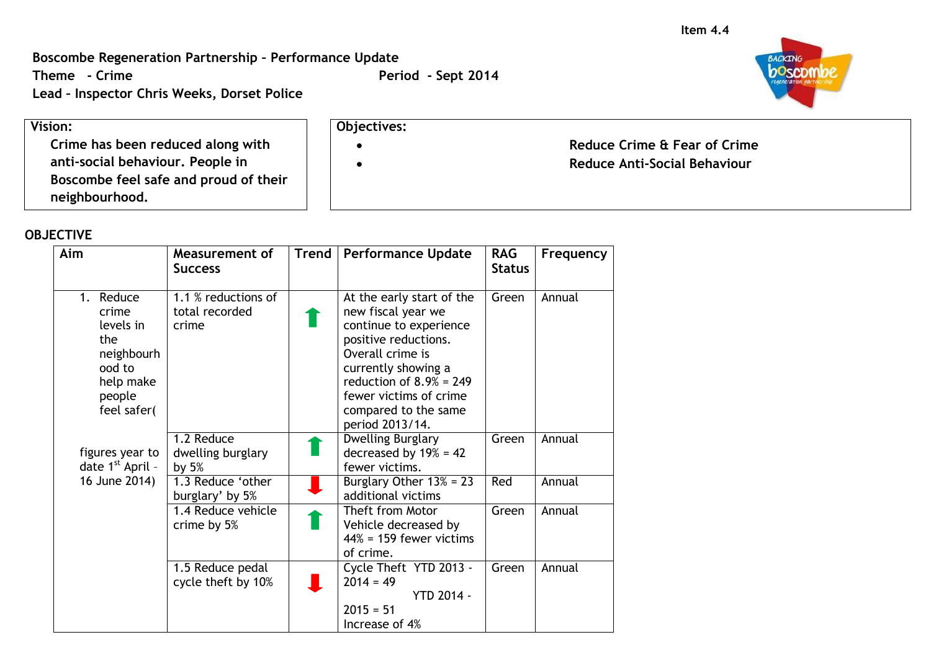**Boscombe Regeneration Partnership – Performance Update**

**Theme** - Crime **Period -** Sept 2014

**Lead – Inspector Chris Weeks, Dorset Police**

## **Vision:**

**Crime has been reduced along with anti-social behaviour. People in Boscombe feel safe and proud of their neighbourhood.**

## **OBJECTIVE**

| Aim                                                                                                              | Measurement of<br><b>Success</b>               | <b>Trend</b> | <b>Performance Update</b>                                                                                                                                                                                                                       | <b>RAG</b><br><b>Status</b> | Frequency |
|------------------------------------------------------------------------------------------------------------------|------------------------------------------------|--------------|-------------------------------------------------------------------------------------------------------------------------------------------------------------------------------------------------------------------------------------------------|-----------------------------|-----------|
| Reduce<br>$1_{\cdot}$<br>crime<br>levels in<br>the<br>neighbourh<br>ood to<br>help make<br>people<br>feel safer( | 1.1 % reductions of<br>total recorded<br>crime |              | At the early start of the<br>new fiscal year we<br>continue to experience<br>positive reductions.<br>Overall crime is<br>currently showing a<br>reduction of $8.9\% = 249$<br>fewer victims of crime<br>compared to the same<br>period 2013/14. | Green                       | Annual    |
| figures year to<br>date 1 <sup>st</sup> April -                                                                  | 1.2 Reduce<br>dwelling burglary<br>by $5%$     |              | <b>Dwelling Burglary</b><br>decreased by $19\% = 42$<br>fewer victims.                                                                                                                                                                          | Green                       | Annual    |
| 16 June 2014)                                                                                                    | 1.3 Reduce 'other<br>burglary' by 5%           |              | Burglary Other $13\% = 23$<br>additional victims                                                                                                                                                                                                | Red                         | Annual    |
|                                                                                                                  | 1.4 Reduce vehicle<br>crime by 5%              |              | Theft from Motor<br>Vehicle decreased by<br>$44\%$ = 159 fewer victims<br>of crime.                                                                                                                                                             | Green                       | Annual    |
|                                                                                                                  | 1.5 Reduce pedal<br>cycle theft by 10%         |              | Cycle Theft YTD 2013 -<br>$2014 = 49$<br><b>YTD 2014 -</b><br>$2015 = 51$<br>Increase of 4%                                                                                                                                                     | Green                       | Annual    |



**Objectives:**

**Reduce Crime & Fear of Crime**

**Reduce Anti-Social Behaviour**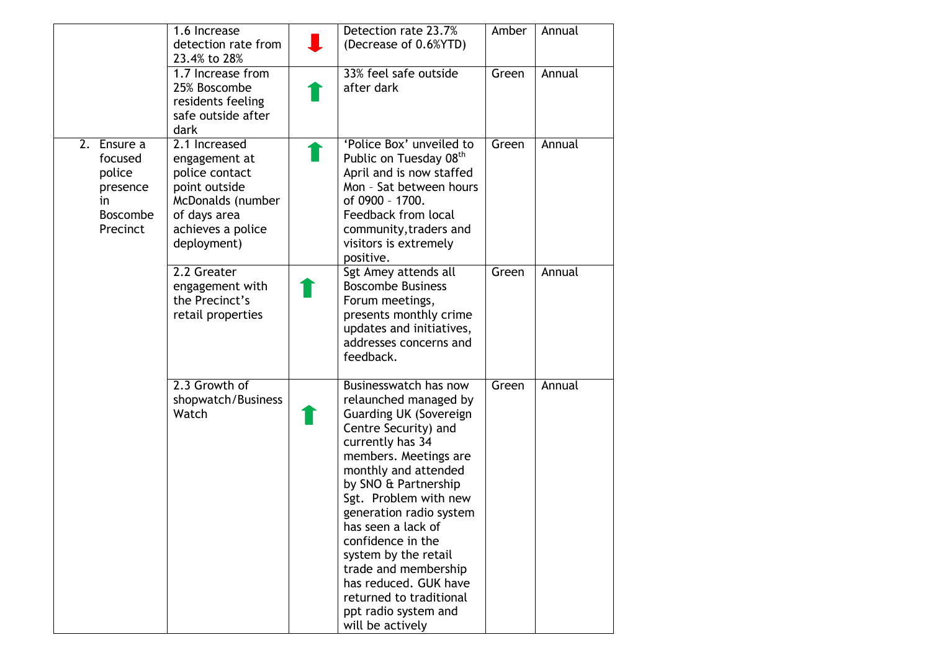|                                                                                      | 1.6 Increase<br>detection rate from<br>23.4% to 28%                                                                                        | Detection rate 23.7%<br>(Decrease of 0.6%YTD)                                                                                                                                                                                                                                                                                                                                                                                                       | Amber | Annual |
|--------------------------------------------------------------------------------------|--------------------------------------------------------------------------------------------------------------------------------------------|-----------------------------------------------------------------------------------------------------------------------------------------------------------------------------------------------------------------------------------------------------------------------------------------------------------------------------------------------------------------------------------------------------------------------------------------------------|-------|--------|
|                                                                                      | 1.7 Increase from<br>25% Boscombe<br>residents feeling<br>safe outside after<br>dark                                                       | 33% feel safe outside<br>after dark                                                                                                                                                                                                                                                                                                                                                                                                                 | Green | Annual |
| 2.<br>Ensure a<br>focused<br>police<br>presence<br>in<br><b>Boscombe</b><br>Precinct | 2.1 Increased<br>engagement at<br>police contact<br>point outside<br>McDonalds (number<br>of days area<br>achieves a police<br>deployment) | 'Police Box' unveiled to<br>Public on Tuesday 08 <sup>th</sup><br>April and is now staffed<br>Mon - Sat between hours<br>of 0900 - 1700.<br>Feedback from local<br>community, traders and<br>visitors is extremely<br>positive.                                                                                                                                                                                                                     | Green | Annual |
|                                                                                      | 2.2 Greater<br>engagement with<br>the Precinct's<br>retail properties                                                                      | Sgt Amey attends all<br><b>Boscombe Business</b><br>Forum meetings,<br>presents monthly crime<br>updates and initiatives,<br>addresses concerns and<br>feedback.                                                                                                                                                                                                                                                                                    | Green | Annual |
|                                                                                      | 2.3 Growth of<br>shopwatch/Business<br>Watch                                                                                               | Businesswatch has now<br>relaunched managed by<br><b>Guarding UK (Sovereign</b><br>Centre Security) and<br>currently has 34<br>members. Meetings are<br>monthly and attended<br>by SNO & Partnership<br>Sgt. Problem with new<br>generation radio system<br>has seen a lack of<br>confidence in the<br>system by the retail<br>trade and membership<br>has reduced. GUK have<br>returned to traditional<br>ppt radio system and<br>will be actively | Green | Annual |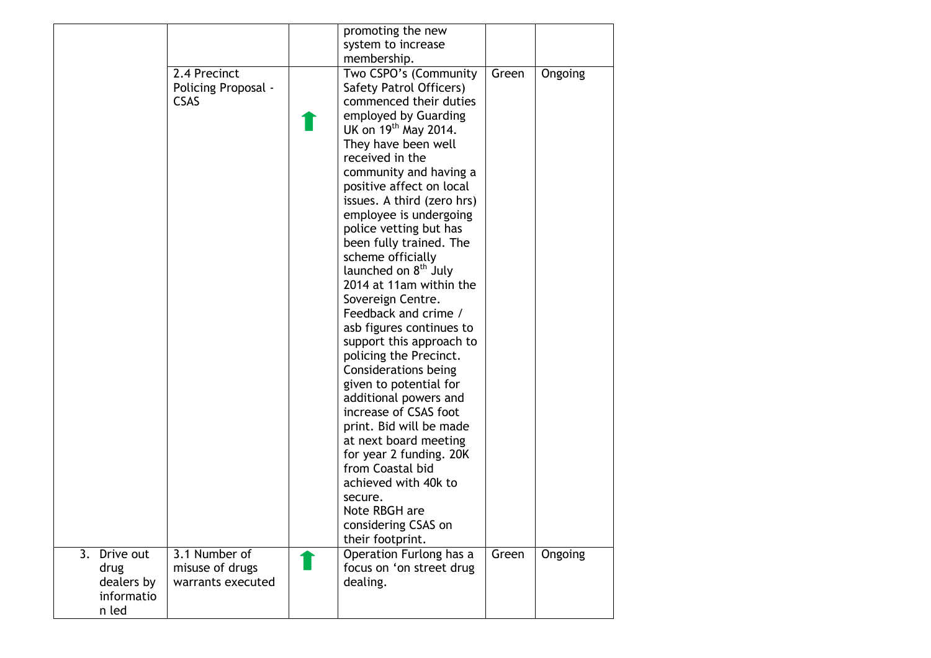|                                                                        |                     | promoting the new                                               |       |         |
|------------------------------------------------------------------------|---------------------|-----------------------------------------------------------------|-------|---------|
|                                                                        |                     | system to increase                                              |       |         |
|                                                                        |                     | membership.                                                     |       |         |
|                                                                        | 2.4 Precinct        | Two CSPO's (Community                                           | Green | Ongoing |
|                                                                        | Policing Proposal - | Safety Patrol Officers)                                         |       |         |
|                                                                        | <b>CSAS</b>         | commenced their duties                                          |       |         |
|                                                                        |                     | employed by Guarding                                            |       |         |
|                                                                        |                     | UK on $19th$ May 2014.                                          |       |         |
|                                                                        |                     | They have been well                                             |       |         |
|                                                                        |                     | received in the                                                 |       |         |
|                                                                        |                     | community and having a                                          |       |         |
|                                                                        |                     | positive affect on local                                        |       |         |
|                                                                        |                     | issues. A third (zero hrs)                                      |       |         |
|                                                                        |                     |                                                                 |       |         |
|                                                                        |                     | employee is undergoing                                          |       |         |
|                                                                        |                     | police vetting but has                                          |       |         |
|                                                                        |                     | been fully trained. The                                         |       |         |
|                                                                        |                     | scheme officially                                               |       |         |
|                                                                        |                     | launched on 8 <sup>th</sup> July                                |       |         |
|                                                                        |                     | 2014 at 11am within the                                         |       |         |
|                                                                        |                     | Sovereign Centre.                                               |       |         |
|                                                                        |                     | Feedback and crime /                                            |       |         |
|                                                                        |                     | asb figures continues to                                        |       |         |
|                                                                        |                     | support this approach to                                        |       |         |
|                                                                        |                     | policing the Precinct.                                          |       |         |
|                                                                        |                     | Considerations being                                            |       |         |
|                                                                        |                     | given to potential for                                          |       |         |
|                                                                        |                     | additional powers and                                           |       |         |
|                                                                        |                     | increase of CSAS foot                                           |       |         |
|                                                                        |                     | print. Bid will be made                                         |       |         |
|                                                                        |                     | at next board meeting                                           |       |         |
|                                                                        |                     | for year 2 funding. 20K                                         |       |         |
|                                                                        |                     | from Coastal bid                                                |       |         |
|                                                                        |                     | achieved with 40k to                                            |       |         |
|                                                                        |                     | secure.                                                         |       |         |
|                                                                        |                     | Note RBGH are                                                   |       |         |
|                                                                        |                     | considering CSAS on                                             |       |         |
|                                                                        |                     | their footprint.                                                |       |         |
|                                                                        | 3.1 Number of       |                                                                 | Green |         |
|                                                                        |                     |                                                                 |       |         |
|                                                                        | warrants executed   |                                                                 |       |         |
|                                                                        |                     |                                                                 |       |         |
|                                                                        |                     |                                                                 |       |         |
| $\overline{3.}$ Drive out<br>drug<br>dealers by<br>informatio<br>n led | misuse of drugs     | Operation Furlong has a<br>focus on 'on street drug<br>dealing. |       | Ongoing |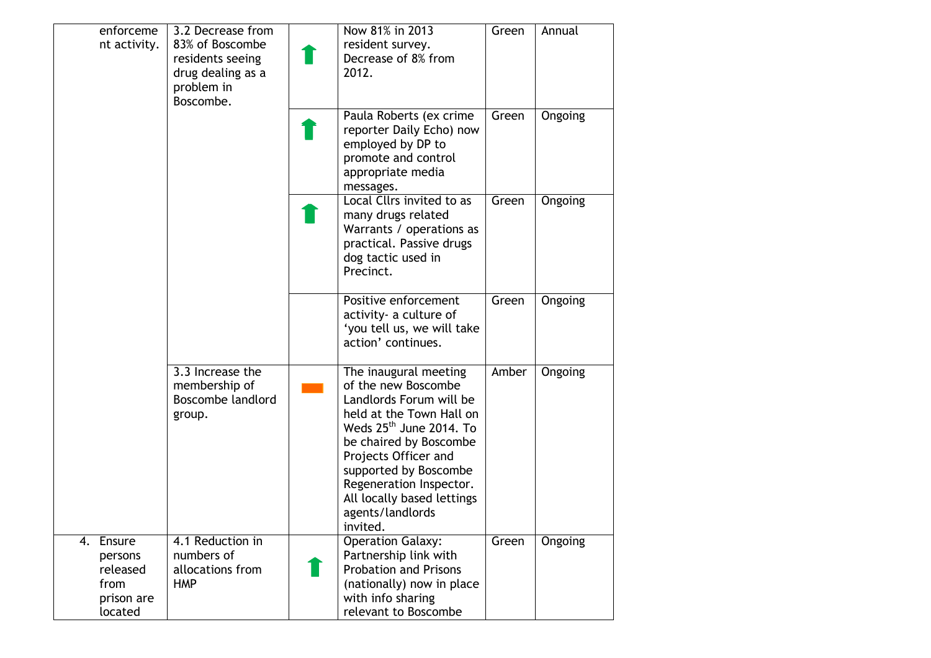| enforceme<br>nt activity.                                         | 3.2 Decrease from<br>83% of Boscombe<br>residents seeing<br>drug dealing as a<br>problem in<br>Boscombe. | Now 81% in 2013<br>resident survey.<br>Decrease of 8% from<br>2012.                                                                                                                                                                                                                                  | Green | Annual  |
|-------------------------------------------------------------------|----------------------------------------------------------------------------------------------------------|------------------------------------------------------------------------------------------------------------------------------------------------------------------------------------------------------------------------------------------------------------------------------------------------------|-------|---------|
|                                                                   |                                                                                                          | Paula Roberts (ex crime<br>reporter Daily Echo) now<br>employed by DP to<br>promote and control<br>appropriate media<br>messages.                                                                                                                                                                    | Green | Ongoing |
|                                                                   |                                                                                                          | Local Cllrs invited to as<br>many drugs related<br>Warrants / operations as<br>practical. Passive drugs<br>dog tactic used in<br>Precinct.                                                                                                                                                           | Green | Ongoing |
|                                                                   |                                                                                                          | Positive enforcement<br>activity- a culture of<br>'you tell us, we will take<br>action' continues.                                                                                                                                                                                                   | Green | Ongoing |
|                                                                   | 3.3 Increase the<br>membership of<br>Boscombe landlord<br>group.                                         | The inaugural meeting<br>of the new Boscombe<br>Landlords Forum will be<br>held at the Town Hall on<br>Weds $25th$ June 2014. To<br>be chaired by Boscombe<br>Projects Officer and<br>supported by Boscombe<br>Regeneration Inspector.<br>All locally based lettings<br>agents/landlords<br>invited. | Amber | Ongoing |
| 4. Ensure<br>persons<br>released<br>from<br>prison are<br>located | 4.1 Reduction in<br>numbers of<br>allocations from<br><b>HMP</b>                                         | <b>Operation Galaxy:</b><br>Partnership link with<br><b>Probation and Prisons</b><br>(nationally) now in place<br>with info sharing<br>relevant to Boscombe                                                                                                                                          | Green | Ongoing |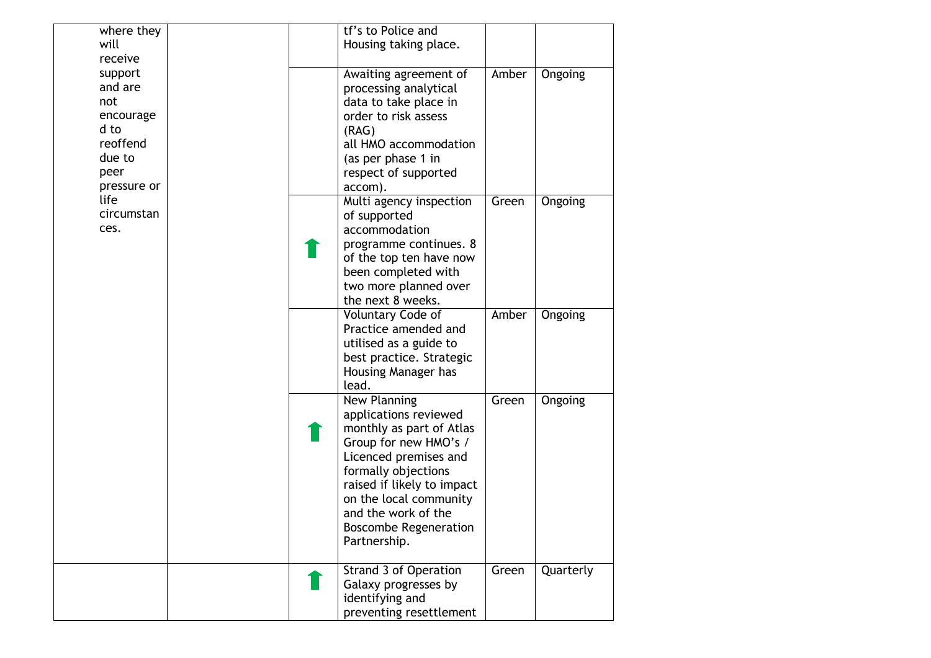| where they      |  | tf's to Police and                                   |       |           |
|-----------------|--|------------------------------------------------------|-------|-----------|
| will<br>receive |  | Housing taking place.                                |       |           |
| support         |  | Awaiting agreement of                                | Amber | Ongoing   |
| and are         |  | processing analytical                                |       |           |
| not             |  | data to take place in                                |       |           |
| encourage       |  | order to risk assess                                 |       |           |
| d to            |  | (RAG)                                                |       |           |
| reoffend        |  | all HMO accommodation                                |       |           |
| due to          |  | (as per phase 1 in                                   |       |           |
| peer            |  | respect of supported                                 |       |           |
| pressure or     |  | accom).                                              |       |           |
| life            |  | Multi agency inspection                              | Green | Ongoing   |
| circumstan      |  | of supported                                         |       |           |
| ces.            |  | accommodation                                        |       |           |
|                 |  | programme continues. 8                               |       |           |
|                 |  | of the top ten have now                              |       |           |
|                 |  | been completed with                                  |       |           |
|                 |  | two more planned over                                |       |           |
|                 |  | the next 8 weeks.                                    |       |           |
|                 |  | Voluntary Code of                                    | Amber | Ongoing   |
|                 |  | Practice amended and                                 |       |           |
|                 |  | utilised as a guide to<br>best practice. Strategic   |       |           |
|                 |  | Housing Manager has                                  |       |           |
|                 |  | lead.                                                |       |           |
|                 |  | New Planning                                         | Green | Ongoing   |
|                 |  | applications reviewed                                |       |           |
|                 |  | monthly as part of Atlas                             |       |           |
|                 |  | Group for new HMO's /                                |       |           |
|                 |  | Licenced premises and                                |       |           |
|                 |  | formally objections                                  |       |           |
|                 |  | raised if likely to impact                           |       |           |
|                 |  | on the local community                               |       |           |
|                 |  | and the work of the                                  |       |           |
|                 |  | <b>Boscombe Regeneration</b>                         |       |           |
|                 |  | Partnership.                                         |       |           |
|                 |  |                                                      |       |           |
|                 |  | <b>Strand 3 of Operation</b><br>Galaxy progresses by | Green | Quarterly |
|                 |  | identifying and                                      |       |           |
|                 |  | preventing resettlement                              |       |           |
|                 |  |                                                      |       |           |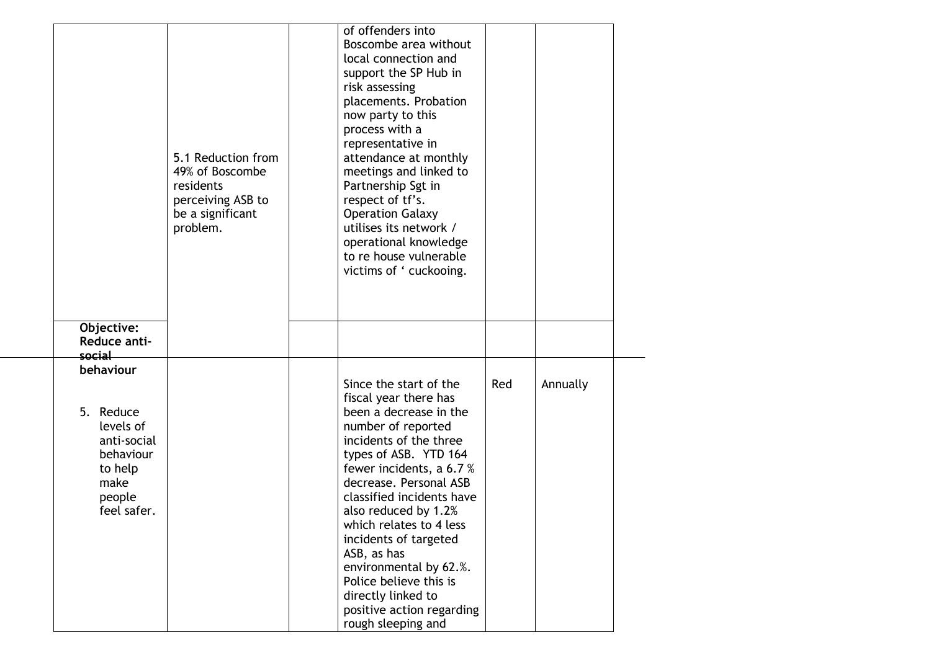|                  |                                                     | Boscombe area without   |                                                                                                                                                                                                                                                                                                                                                                                                                                                  |     |          |
|------------------|-----------------------------------------------------|-------------------------|--------------------------------------------------------------------------------------------------------------------------------------------------------------------------------------------------------------------------------------------------------------------------------------------------------------------------------------------------------------------------------------------------------------------------------------------------|-----|----------|
|                  |                                                     | support the SP Hub in   |                                                                                                                                                                                                                                                                                                                                                                                                                                                  |     |          |
|                  |                                                     | placements. Probation   |                                                                                                                                                                                                                                                                                                                                                                                                                                                  |     |          |
|                  |                                                     |                         |                                                                                                                                                                                                                                                                                                                                                                                                                                                  |     |          |
|                  |                                                     | representative in       |                                                                                                                                                                                                                                                                                                                                                                                                                                                  |     |          |
| 49% of Boscombe  |                                                     | meetings and linked to  |                                                                                                                                                                                                                                                                                                                                                                                                                                                  |     |          |
| residents        |                                                     | Partnership Sgt in      |                                                                                                                                                                                                                                                                                                                                                                                                                                                  |     |          |
| be a significant |                                                     | <b>Operation Galaxy</b> |                                                                                                                                                                                                                                                                                                                                                                                                                                                  |     |          |
|                  |                                                     | operational knowledge   |                                                                                                                                                                                                                                                                                                                                                                                                                                                  |     |          |
|                  |                                                     | to re house vulnerable  |                                                                                                                                                                                                                                                                                                                                                                                                                                                  |     |          |
|                  |                                                     |                         |                                                                                                                                                                                                                                                                                                                                                                                                                                                  |     |          |
|                  |                                                     |                         |                                                                                                                                                                                                                                                                                                                                                                                                                                                  |     |          |
|                  |                                                     |                         |                                                                                                                                                                                                                                                                                                                                                                                                                                                  |     |          |
|                  |                                                     |                         |                                                                                                                                                                                                                                                                                                                                                                                                                                                  |     |          |
|                  |                                                     |                         |                                                                                                                                                                                                                                                                                                                                                                                                                                                  |     |          |
|                  |                                                     | fiscal year there has   |                                                                                                                                                                                                                                                                                                                                                                                                                                                  |     |          |
|                  |                                                     | been a decrease in the  |                                                                                                                                                                                                                                                                                                                                                                                                                                                  |     |          |
|                  |                                                     | incidents of the three  |                                                                                                                                                                                                                                                                                                                                                                                                                                                  |     |          |
|                  |                                                     |                         |                                                                                                                                                                                                                                                                                                                                                                                                                                                  |     |          |
|                  |                                                     | decrease. Personal ASB  |                                                                                                                                                                                                                                                                                                                                                                                                                                                  |     |          |
|                  |                                                     | also reduced by 1.2%    |                                                                                                                                                                                                                                                                                                                                                                                                                                                  |     |          |
|                  |                                                     | which relates to 4 less |                                                                                                                                                                                                                                                                                                                                                                                                                                                  |     |          |
|                  |                                                     | ASB, as has             |                                                                                                                                                                                                                                                                                                                                                                                                                                                  |     |          |
|                  |                                                     |                         |                                                                                                                                                                                                                                                                                                                                                                                                                                                  |     |          |
|                  |                                                     | directly linked to      |                                                                                                                                                                                                                                                                                                                                                                                                                                                  |     |          |
|                  |                                                     | rough sleeping and      |                                                                                                                                                                                                                                                                                                                                                                                                                                                  |     |          |
|                  | 5.1 Reduction from<br>perceiving ASB to<br>problem. |                         | of offenders into<br>local connection and<br>risk assessing<br>now party to this<br>process with a<br>attendance at monthly<br>respect of tf's.<br>utilises its network /<br>victims of ' cuckooing.<br>Since the start of the<br>number of reported<br>types of ASB. YTD 164<br>fewer incidents, a 6.7 %<br>classified incidents have<br>incidents of targeted<br>environmental by 62.%.<br>Police believe this is<br>positive action regarding | Red | Annually |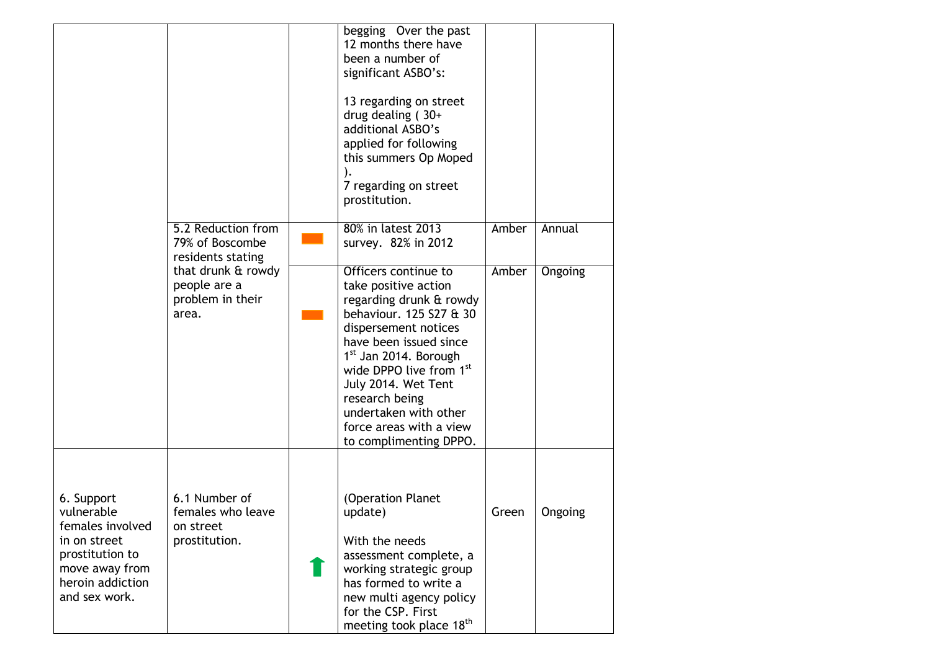|                                                                                                                                        |                                                                  | begging Over the past<br>12 months there have<br>been a number of<br>significant ASBO's:<br>13 regarding on street<br>drug dealing $(30+)$<br>additional ASBO's<br>applied for following<br>this summers Op Moped<br>7 regarding on street<br>prostitution.                                                                                 |       |         |
|----------------------------------------------------------------------------------------------------------------------------------------|------------------------------------------------------------------|---------------------------------------------------------------------------------------------------------------------------------------------------------------------------------------------------------------------------------------------------------------------------------------------------------------------------------------------|-------|---------|
|                                                                                                                                        | 5.2 Reduction from<br>79% of Boscombe<br>residents stating       | 80% in latest 2013<br>survey. 82% in 2012                                                                                                                                                                                                                                                                                                   | Amber | Annual  |
|                                                                                                                                        | that drunk & rowdy<br>people are a<br>problem in their<br>area.  | Officers continue to<br>take positive action<br>regarding drunk & rowdy<br>behaviour. 125 S27 & 30<br>dispersement notices<br>have been issued since<br>1 <sup>st</sup> Jan 2014. Borough<br>wide DPPO live from 1st<br>July 2014. Wet Tent<br>research being<br>undertaken with other<br>force areas with a view<br>to complimenting DPPO. | Amber | Ongoing |
| 6. Support<br>vulnerable<br>females involved<br>in on street<br>prostitution to<br>move away from<br>heroin addiction<br>and sex work. | 6.1 Number of<br>females who leave<br>on street<br>prostitution. | (Operation Planet<br>update)<br>With the needs<br>assessment complete, a<br>working strategic group<br>has formed to write a<br>new multi agency policy<br>for the CSP. First<br>meeting took place 18 <sup>th</sup>                                                                                                                        | Green | Ongoing |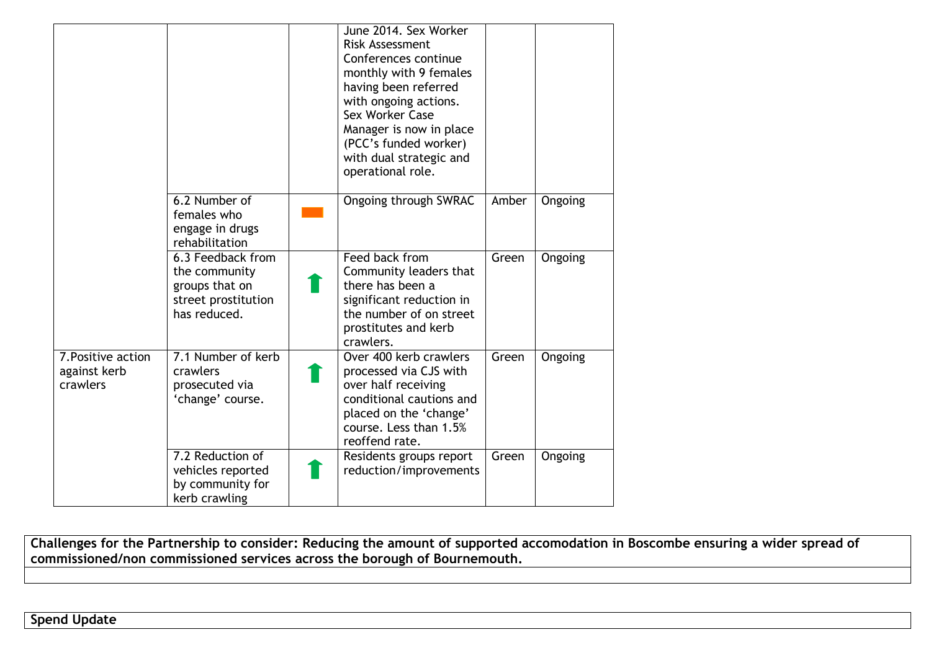|                                                |                                                                                             | June 2014. Sex Worker<br>Risk Assessment<br>Conferences continue<br>monthly with 9 females<br>having been referred<br>with ongoing actions.<br>Sex Worker Case<br>Manager is now in place<br>(PCC's funded worker)<br>with dual strategic and<br>operational role. |       |         |
|------------------------------------------------|---------------------------------------------------------------------------------------------|--------------------------------------------------------------------------------------------------------------------------------------------------------------------------------------------------------------------------------------------------------------------|-------|---------|
|                                                | 6.2 Number of<br>females who<br>engage in drugs<br>rehabilitation                           | <b>Ongoing through SWRAC</b>                                                                                                                                                                                                                                       | Amber | Ongoing |
|                                                | 6.3 Feedback from<br>the community<br>groups that on<br>street prostitution<br>has reduced. | Feed back from<br>Community leaders that<br>there has been a<br>significant reduction in<br>the number of on street<br>prostitutes and kerb<br>crawlers.                                                                                                           | Green | Ongoing |
| 7. Positive action<br>against kerb<br>crawlers | 7.1 Number of kerb<br>crawlers<br>prosecuted via<br>'change' course.                        | Over 400 kerb crawlers<br>processed via CJS with<br>over half receiving<br>conditional cautions and<br>placed on the 'change'<br>course. Less than 1.5%<br>reoffend rate.                                                                                          | Green | Ongoing |
|                                                | 7.2 Reduction of<br>vehicles reported<br>by community for<br>kerb crawling                  | Residents groups report<br>reduction/improvements                                                                                                                                                                                                                  | Green | Ongoing |

**Challenges for the Partnership to consider: Reducing the amount of supported accomodation in Boscombe ensuring a wider spread of commissioned/non commissioned services across the borough of Bournemouth.**